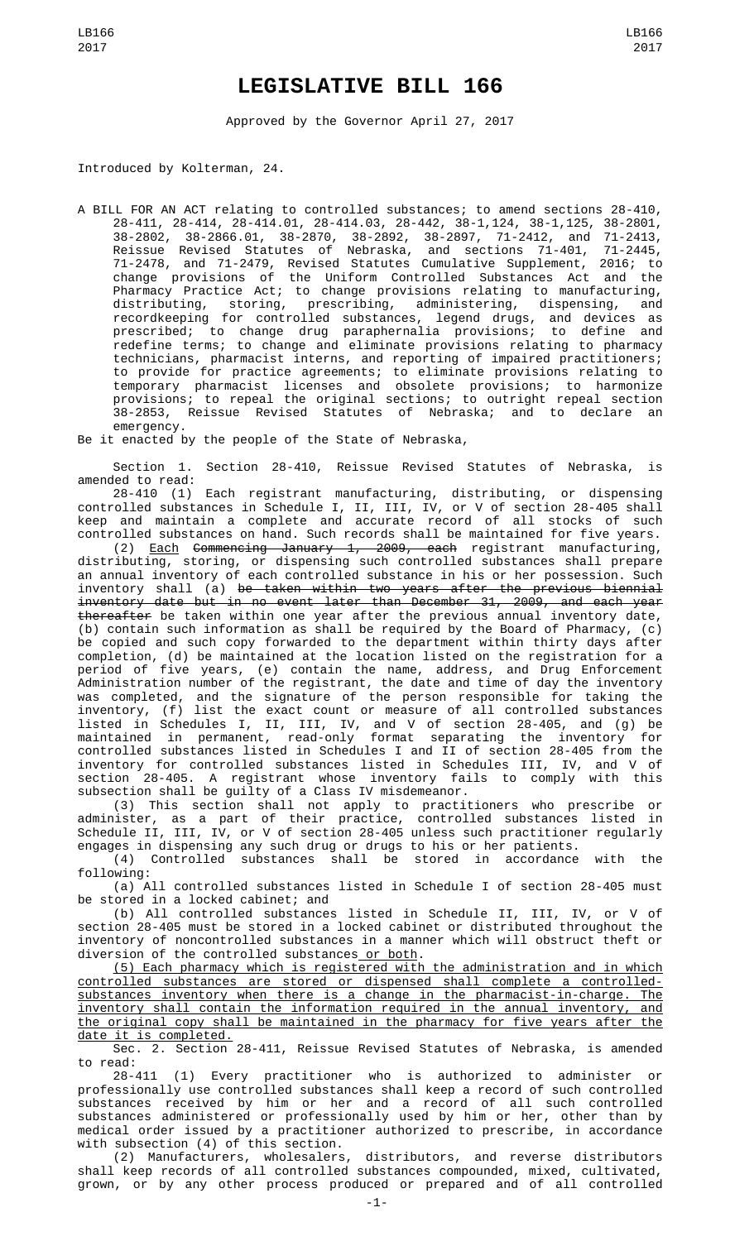## **LEGISLATIVE BILL 166**

Approved by the Governor April 27, 2017

Introduced by Kolterman, 24.

A BILL FOR AN ACT relating to controlled substances; to amend sections 28-410, 28-411, 28-414, 28-414.01, 28-414.03, 28-442, 38-1,124, 38-1,125, 38-2801, 38-2802, 38-2866.01, 38-2870, 38-2892, 38-2897, 71-2412, and 71-2413, Reissue Revised Statutes of Nebraska, and sections 71-401, 71-2445, 71-2478, and 71-2479, Revised Statutes Cumulative Supplement, 2016; to change provisions of the Uniform Controlled Substances Act and the Pharmacy Practice Act; to change provisions relating to manufacturing, distributing, storing, prescribing, administering, dispensing, and recordkeeping for controlled substances, legend drugs, and devices as prescribed; to change drug paraphernalia provisions; to define and redefine terms; to change and eliminate provisions relating to pharmacy technicians, pharmacist interns, and reporting of impaired practitioners; to provide for practice agreements; to eliminate provisions relating to temporary pharmacist licenses and obsolete provisions; to harmonize provisions; to repeal the original sections; to outright repeal section 38-2853, Reissue Revised Statutes of Nebraska; and to declare an emergency.

Be it enacted by the people of the State of Nebraska,

Section 1. Section 28-410, Reissue Revised Statutes of Nebraska, is amended to read:

28-410 (1) Each registrant manufacturing, distributing, or dispensing controlled substances in Schedule I, II, III, IV, or V of section 28-405 shall keep and maintain a complete and accurate record of all stocks of such controlled substances on hand. Such records shall be maintained for five years.

(2) Each Commencing January 1, 2009, each registrant manufacturing, distributing, storing, or dispensing such controlled substances shall prepare an annual inventory of each controlled substance in his or her possession. Such inventory shall (a) <del>be taken within two years after the previous biennial</del> inventory date but in no event later than December 31, 2009, and each year thereafter be taken within one year after the previous annual inventory date, (b) contain such information as shall be required by the Board of Pharmacy, (c) be copied and such copy forwarded to the department within thirty days after completion, (d) be maintained at the location listed on the registration for a period of five years, (e) contain the name, address, and Drug Enforcement Administration number of the registrant, the date and time of day the inventory was completed, and the signature of the person responsible for taking the inventory, (f) list the exact count or measure of all controlled substances listed in Schedules I, II, III, IV, and V of section 28-405, and (g) be maintained in permanent, read-only format separating the inventory for controlled substances listed in Schedules I and II of section 28-405 from the inventory for controlled substances listed in Schedules III, IV, and V of section 28-405. A registrant whose inventory fails to comply with this subsection shall be guilty of a Class IV misdemeanor.

(3) This section shall not apply to practitioners who prescribe or administer, as a part of their practice, controlled substances listed in Schedule II, III, IV, or V of section 28-405 unless such practitioner regularly engages in dispensing any such drug or drugs to his or her patients.

(4) Controlled substances shall be stored in accordance with the following:

(a) All controlled substances listed in Schedule I of section 28-405 must be stored in a locked cabinet; and

(b) All controlled substances listed in Schedule II, III, IV, or V of section 28-405 must be stored in a locked cabinet or distributed throughout the inventory of noncontrolled substances in a manner which will obstruct theft or diversion of the controlled substances or both.

(5) Each pharmacy which is registered with the administration and in which controlled substances are stored or dispensed shall complete a controlledsubstances inventory when there is a change in the pharmacist-in-charge. The inventory shall contain the information required in the annual inventory, and the original copy shall be maintained in the pharmacy for five years after the date it is completed.

Sec. 2. Section 28-411, Reissue Revised Statutes of Nebraska, is amended to read:

28-411 (1) Every practitioner who is authorized to administer or professionally use controlled substances shall keep a record of such controlled substances received by him or her and a record of all such controlled substances administered or professionally used by him or her, other than by medical order issued by a practitioner authorized to prescribe, in accordance with subsection (4) of this section.

(2) Manufacturers, wholesalers, distributors, and reverse distributors shall keep records of all controlled substances compounded, mixed, cultivated, grown, or by any other process produced or prepared and of all controlled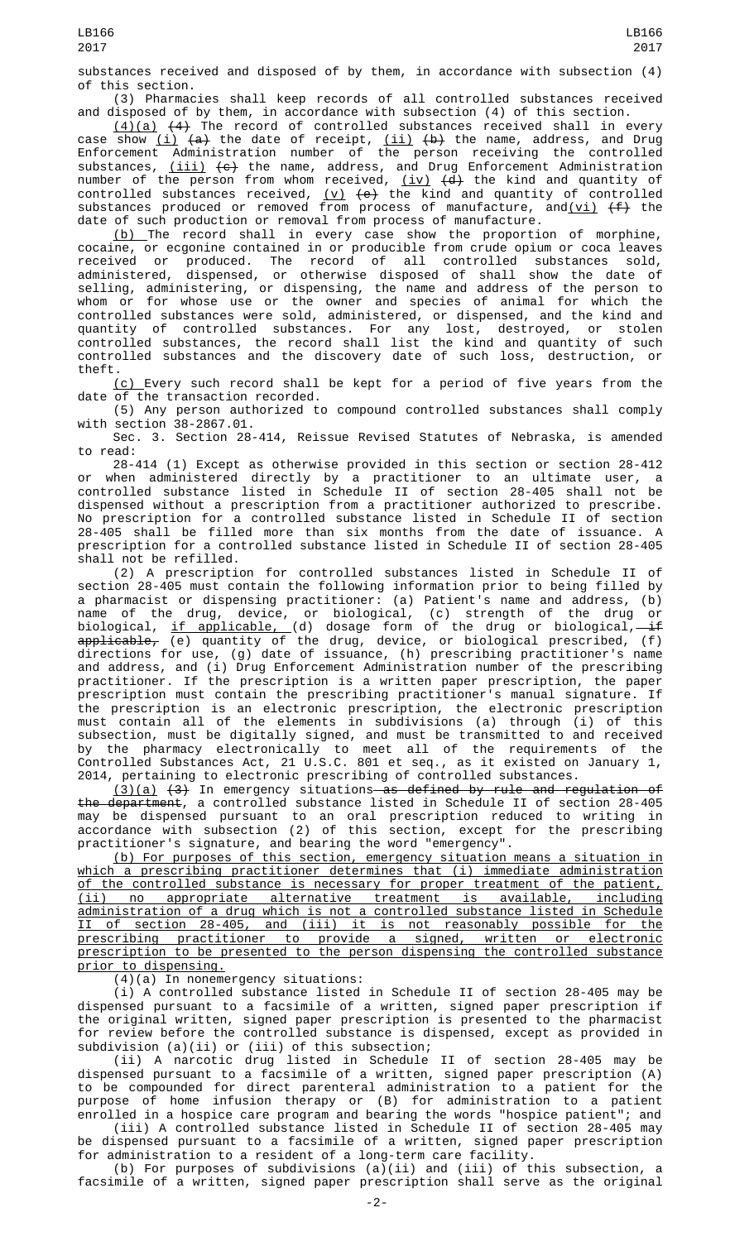substances received and disposed of by them, in accordance with subsection (4) of this section.

(3) Pharmacies shall keep records of all controlled substances received and disposed of by them, in accordance with subsection (4) of this section.

 $(4)(a)$   $(4)$  The record of controlled substances received shall in every case show <u>(i)</u> <del>(a)</del> the date of receipt, <u>(ii)</u> <del>(b)</del> the name, address, and Drug Enforcement Administration number of the person receiving the controlled substances, <u>(iii)</u> <del>(c)</del> the name, address, and Drug Enforcement Administration number of the person from whom received, <u>(iv)</u> <del>(d)</del> the kind and quantity of controlled substances received,  $(v)$   $(e)$  the kind and quantity of controlled substances produced or removed from process of manufacture, and<u>(vi)</u> <del>(f)</del> the date of such production or removal from process of manufacture.

(b) The record shall in every case show the proportion of morphine, cocaine, or ecgonine contained in or producible from crude opium or coca leaves received or produced. The record of all controlled substances sold, administered, dispensed, or otherwise disposed of shall show the date of selling, administering, or dispensing, the name and address of the person to whom or for whose use or the owner and species of animal for which the controlled substances were sold, administered, or dispensed, and the kind and quantity of controlled substances. For any lost, destroyed, or stolen controlled substances, the record shall list the kind and quantity of such controlled substances and the discovery date of such loss, destruction, or theft.

(c) Every such record shall be kept for a period of five years from the date of the transaction recorded.

(5) Any person authorized to compound controlled substances shall comply with section 38-2867.01.

Sec. 3. Section 28-414, Reissue Revised Statutes of Nebraska, is amended to read:

28-414 (1) Except as otherwise provided in this section or section 28-412 or when administered directly by a practitioner to an ultimate user, a controlled substance listed in Schedule II of section 28-405 shall not be dispensed without a prescription from a practitioner authorized to prescribe. No prescription for a controlled substance listed in Schedule II of section 28-405 shall be filled more than six months from the date of issuance. A prescription for a controlled substance listed in Schedule II of section 28-405 shall not be refilled.

(2) A prescription for controlled substances listed in Schedule II of section 28-405 must contain the following information prior to being filled by a pharmacist or dispensing practitioner: (a) Patient's name and address, (b) name of the drug, device, or biological, (c) strength of the drug or biological, <u>if applicable, (</u>d) dosage form of the drug or biological,—<del>if</del>  $\tt{applicable}_\tau$  (e) quantity of the drug, device, or biological prescribed, (f) directions for use, (g) date of issuance, (h) prescribing practitioner's name and address, and (i) Drug Enforcement Administration number of the prescribing practitioner. If the prescription is a written paper prescription, the paper prescription must contain the prescribing practitioner's manual signature. If the prescription is an electronic prescription, the electronic prescription must contain all of the elements in subdivisions (a) through (i) of this subsection, must be digitally signed, and must be transmitted to and received by the pharmacy electronically to meet all of the requirements of the Controlled Substances Act, 21 U.S.C. 801 et seq., as it existed on January 1, 2014, pertaining to electronic prescribing of controlled substances.

(3)(a) (3) In emergency situations as defined by rule and regulation of the department, a controlled substance listed in Schedule II of section 28-405 may be dispensed pursuant to an oral prescription reduced to writing in accordance with subsection (2) of this section, except for the prescribing practitioner's signature, and bearing the word "emergency".

(b) For purposes of this section, emergency situation means a situation in which a prescribing practitioner determines that (i) immediate administration of the controlled substance is necessary for proper treatment of the patient, (ii) no appropriate alternative treatment is available, including administration of a drug which is not a controlled substance listed in Schedule II of section 28-405, and (iii) it is not reasonably possible for the prescribing practitioner to provide a signed, written or electronic prescription to be presented to the person dispensing the controlled substance prior to dispensing.

(4)(a) In nonemergency situations:

(i) A controlled substance listed in Schedule II of section 28-405 may be dispensed pursuant to a facsimile of a written, signed paper prescription if the original written, signed paper prescription is presented to the pharmacist for review before the controlled substance is dispensed, except as provided in subdivision (a)(ii) or (iii) of this subsection;

(ii) A narcotic drug listed in Schedule II of section 28-405 may be dispensed pursuant to a facsimile of a written, signed paper prescription (A) to be compounded for direct parenteral administration to a patient for the purpose of home infusion therapy or (B) for administration to a patient enrolled in a hospice care program and bearing the words "hospice patient"; and

(iii) A controlled substance listed in Schedule II of section 28-405 may be dispensed pursuant to a facsimile of a written, signed paper prescription for administration to a resident of a long-term care facility.

(b) For purposes of subdivisions (a)(ii) and (iii) of this subsection, a facsimile of a written, signed paper prescription shall serve as the original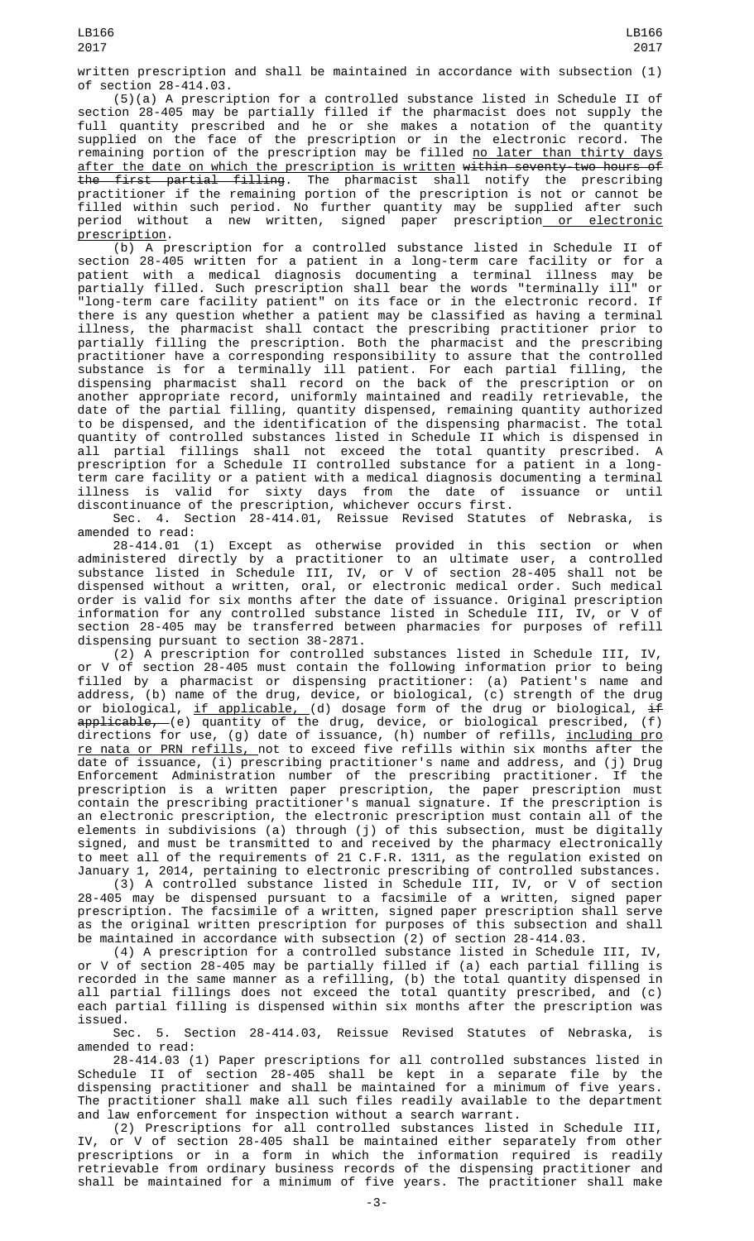written prescription and shall be maintained in accordance with subsection (1) of section 28-414.03.

(5)(a) A prescription for a controlled substance listed in Schedule II of section 28-405 may be partially filled if the pharmacist does not supply the full quantity prescribed and he or she makes a notation of the quantity supplied on the face of the prescription or in the electronic record. The remaining portion of the prescription may be filled <u>no later than thirty days</u> after the date on which the prescription is written within seventy-two hours of the first partial filling. The pharmacist shall notify the prescribing practitioner if the remaining portion of the prescription is not or cannot be filled within such period. No further quantity may be supplied after such period without a new written, signed paper prescription<u> or electronic</u> prescription.

(b) A prescription for a controlled substance listed in Schedule II of section 28-405 written for a patient in a long-term care facility or for a patient with a medical diagnosis documenting a terminal illness may be partially filled. Such prescription shall bear the words "terminally ill" or "long-term care facility patient" on its face or in the electronic record. If there is any question whether a patient may be classified as having a terminal illness, the pharmacist shall contact the prescribing practitioner prior to partially filling the prescription. Both the pharmacist and the prescribing practitioner have a corresponding responsibility to assure that the controlled substance is for a terminally ill patient. For each partial filling, the dispensing pharmacist shall record on the back of the prescription or on another appropriate record, uniformly maintained and readily retrievable, the date of the partial filling, quantity dispensed, remaining quantity authorized to be dispensed, and the identification of the dispensing pharmacist. The total quantity of controlled substances listed in Schedule II which is dispensed in all partial fillings shall not exceed the total quantity prescribed. A prescription for a Schedule II controlled substance for a patient in a longterm care facility or a patient with a medical diagnosis documenting a terminal illness is valid for sixty days from the date of issuance or until discontinuance of the prescription, whichever occurs first.

Sec. 4. Section 28-414.01, Reissue Revised Statutes of Nebraska, is amended to read:

28-414.01 (1) Except as otherwise provided in this section or when administered directly by a practitioner to an ultimate user, a controlled substance listed in Schedule III, IV, or V of section 28-405 shall not be dispensed without a written, oral, or electronic medical order. Such medical order is valid for six months after the date of issuance. Original prescription information for any controlled substance listed in Schedule III, IV, or V of section 28-405 may be transferred between pharmacies for purposes of refill dispensing pursuant to section 38-2871.

(2) A prescription for controlled substances listed in Schedule III, IV, or V of section 28-405 must contain the following information prior to being filled by a pharmacist or dispensing practitioner: (a) Patient's name and address, (b) name of the drug, device, or biological, (c) strength of the drug or biological, <u>if applicable, (</u>d) dosage form of the drug or biological, <del>if</del> applicable, (e) quantity of the drug, device, or biological prescribed, (f) directions for use, (g) date of issuance, (h) number of refills, <u>including pro</u> <u>re nata or PRN refills, </u>not to exceed five refills within six months after the date of issuance, (i) prescribing practitioner's name and address, and (j) Drug Enforcement Administration number of the prescribing practitioner. If the prescription is a written paper prescription, the paper prescription must contain the prescribing practitioner's manual signature. If the prescription is an electronic prescription, the electronic prescription must contain all of the elements in subdivisions (a) through (j) of this subsection, must be digitally signed, and must be transmitted to and received by the pharmacy electronically to meet all of the requirements of 21 C.F.R. 1311, as the regulation existed on January 1, 2014, pertaining to electronic prescribing of controlled substances.

(3) A controlled substance listed in Schedule III, IV, or V of section 28-405 may be dispensed pursuant to a facsimile of a written, signed paper prescription. The facsimile of a written, signed paper prescription shall serve as the original written prescription for purposes of this subsection and shall be maintained in accordance with subsection (2) of section 28-414.03.

(4) A prescription for a controlled substance listed in Schedule III, IV, or V of section 28-405 may be partially filled if (a) each partial filling is recorded in the same manner as a refilling, (b) the total quantity dispensed in all partial fillings does not exceed the total quantity prescribed, and (c) each partial filling is dispensed within six months after the prescription was issued.

Sec. 5. Section 28-414.03, Reissue Revised Statutes of Nebraska, is amended to read:

28-414.03 (1) Paper prescriptions for all controlled substances listed in Schedule II of section 28-405 shall be kept in a separate file by the dispensing practitioner and shall be maintained for a minimum of five years. The practitioner shall make all such files readily available to the department and law enforcement for inspection without a search warrant.

(2) Prescriptions for all controlled substances listed in Schedule III, IV, or V of section 28-405 shall be maintained either separately from other prescriptions or in a form in which the information required is readily retrievable from ordinary business records of the dispensing practitioner and shall be maintained for a minimum of five years. The practitioner shall make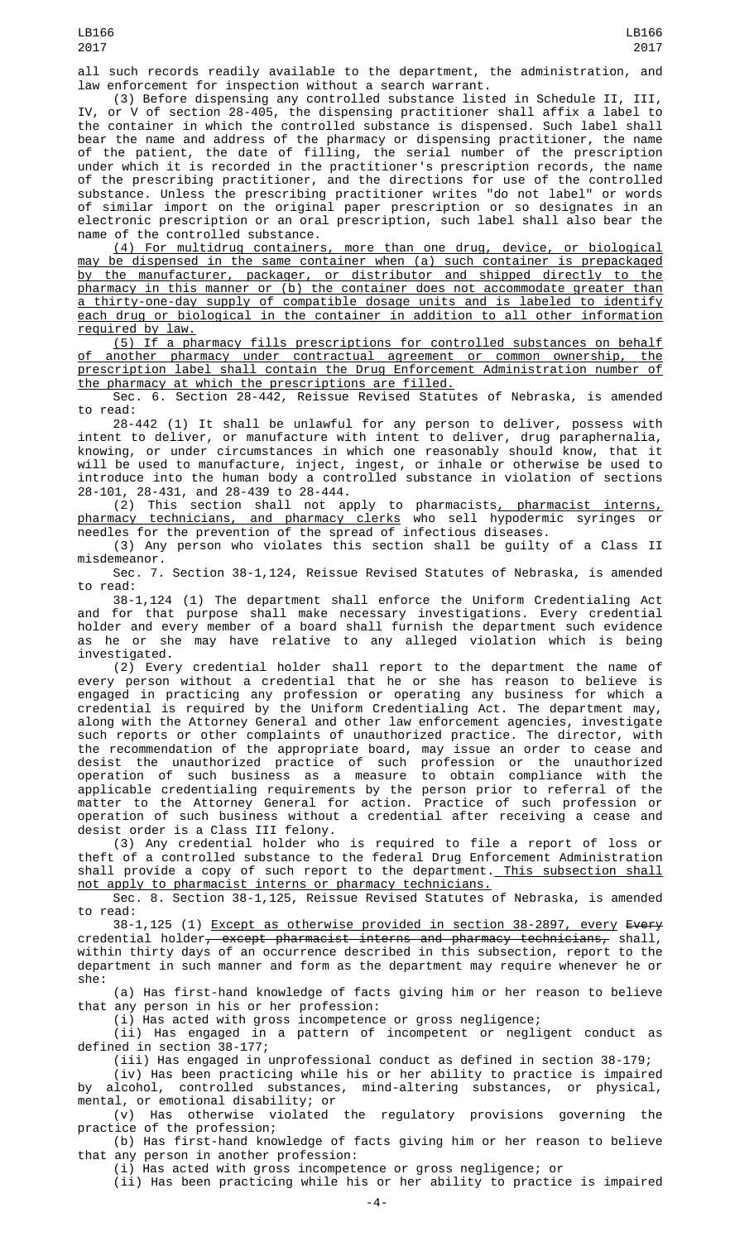all such records readily available to the department, the administration, and law enforcement for inspection without a search warrant.

(3) Before dispensing any controlled substance listed in Schedule II, III, or  $V$  of section 28-405, the dispensing practitioner shall affix a label to the container in which the controlled substance is dispensed. Such label shall bear the name and address of the pharmacy or dispensing practitioner, the name of the patient, the date of filling, the serial number of the prescription under which it is recorded in the practitioner's prescription records, the name of the prescribing practitioner, and the directions for use of the controlled substance. Unless the prescribing practitioner writes "do not label" or words of similar import on the original paper prescription or so designates in an electronic prescription or an oral prescription, such label shall also bear the name of the controlled substance.

(4) For multidrug containers, more than one drug, device, or biological may be dispensed in the same container when (a) such container is prepackaged by the manufacturer, packager, or distributor and shipped directly to the pharmacy in this manner or (b) the container does not accommodate greater than a thirty-one-day supply of compatible dosage units and is labeled to identify each drug or biological in the container in addition to all other information required by law.

(5) If a pharmacy fills prescriptions for controlled substances on behalf of another pharmacy under contractual agreement or common ownership, the prescription label shall contain the Drug Enforcement Administration number of the pharmacy at which the prescriptions are filled.

Sec. 6. Section 28-442, Reissue Revised Statutes of Nebraska, is amended to read:

28-442 (1) It shall be unlawful for any person to deliver, possess with intent to deliver, or manufacture with intent to deliver, drug paraphernalia, knowing, or under circumstances in which one reasonably should know, that it will be used to manufacture, inject, ingest, or inhale or otherwise be used to introduce into the human body a controlled substance in violation of sections 28-101, 28-431, and 28-439 to 28-444.

(2) This section shall not apply to pharmacists, pharmacist interns, pharmacy technicians, and pharmacy clerks who sell hypodermic syringes or needles for the prevention of the spread of infectious diseases.

(3) Any person who violates this section shall be guilty of a Class II misdemeanor.

Sec. 7. Section 38-1,124, Reissue Revised Statutes of Nebraska, is amended to read:

38-1,124 (1) The department shall enforce the Uniform Credentialing Act and for that purpose shall make necessary investigations. Every credential holder and every member of a board shall furnish the department such evidence as he or she may have relative to any alleged violation which is being investigated.

(2) Every credential holder shall report to the department the name of every person without a credential that he or she has reason to believe is engaged in practicing any profession or operating any business for which a credential is required by the Uniform Credentialing Act. The department may, along with the Attorney General and other law enforcement agencies, investigate such reports or other complaints of unauthorized practice. The director, with the recommendation of the appropriate board, may issue an order to cease and desist the unauthorized practice of such profession or the unauthorized operation of such business as a measure to obtain compliance with the applicable credentialing requirements by the person prior to referral of the matter to the Attorney General for action. Practice of such profession or operation of such business without a credential after receiving a cease and desist order is a Class III felony.

(3) Any credential holder who is required to file a report of loss or theft of a controlled substance to the federal Drug Enforcement Administration shall provide a copy of such report to the department. This subsection shall not apply to pharmacist interns or pharmacy technicians.

Sec. 8. Section 38-1,125, Reissue Revised Statutes of Nebraska, is amended to read:

38-1,125 (1) Except as otherwise provided in section 38-2897, every Every credential holder<del>, except pharmacist interns and pharmacy technicians,</del> shall, within thirty days of an occurrence described in this subsection, report to the department in such manner and form as the department may require whenever he or she:

(a) Has first-hand knowledge of facts giving him or her reason to believe that any person in his or her profession:

(i) Has acted with gross incompetence or gross negligence;

(ii) Has engaged in a pattern of incompetent or negligent conduct as defined in section 38-177;

(iii) Has engaged in unprofessional conduct as defined in section 38-179;

(iv) Has been practicing while his or her ability to practice is impaired by alcohol, controlled substances, mind-altering substances, or physical, mental, or emotional disability; or

(v) Has otherwise violated the regulatory provisions governing the practice of the profession;

(b) Has first-hand knowledge of facts giving him or her reason to believe that any person in another profession:

(i) Has acted with gross incompetence or gross negligence; or

(ii) Has been practicing while his or her ability to practice is impaired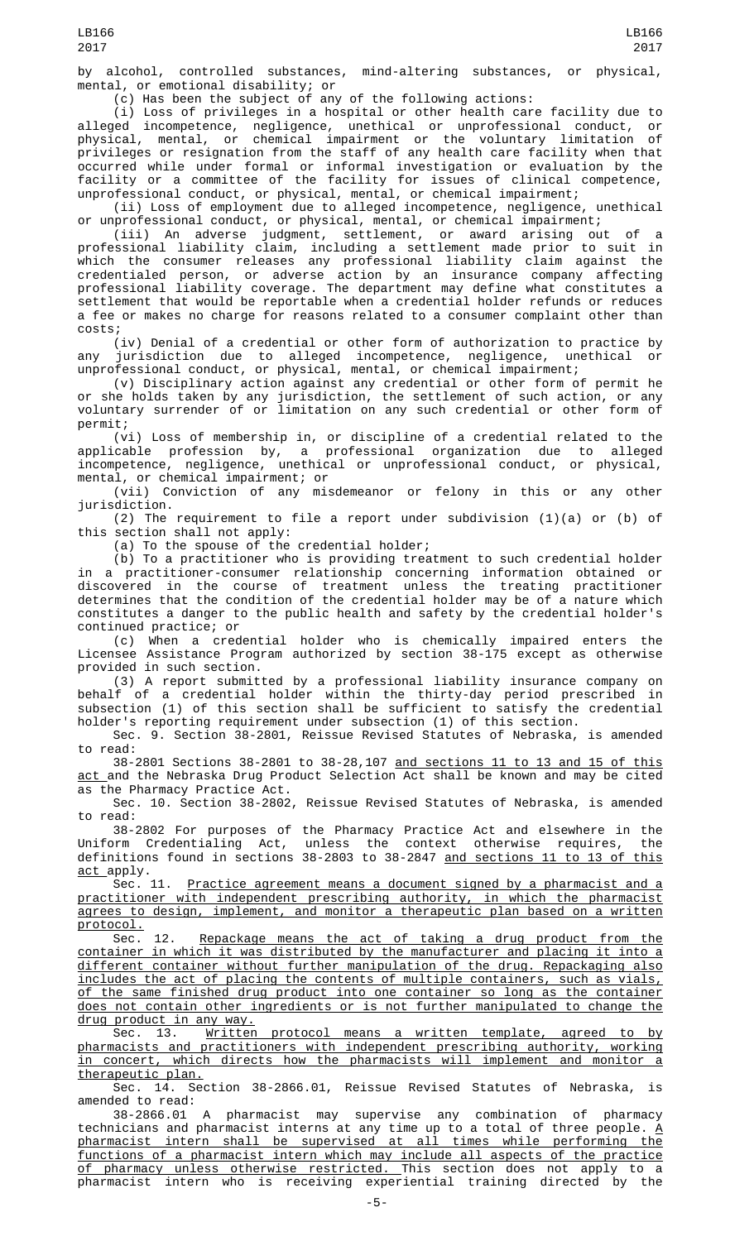by alcohol, controlled substances, mind-altering substances, or physical, mental, or emotional disability; or

(c) Has been the subject of any of the following actions:

(i) Loss of privileges in a hospital or other health care facility due to alleged incompetence, negligence, unethical or unprofessional conduct, or physical, mental, or chemical impairment or the voluntary limitation of privileges or resignation from the staff of any health care facility when that occurred while under formal or informal investigation or evaluation by the facility or a committee of the facility for issues of clinical competence, unprofessional conduct, or physical, mental, or chemical impairment;

(ii) Loss of employment due to alleged incompetence, negligence, unethical or unprofessional conduct, or physical, mental, or chemical impairment;

(iii) An adverse judgment, settlement, or award arising out of a professional liability claim, including a settlement made prior to suit in which the consumer releases any professional liability claim against the credentialed person, or adverse action by an insurance company affecting professional liability coverage. The department may define what constitutes a settlement that would be reportable when a credential holder refunds or reduces a fee or makes no charge for reasons related to a consumer complaint other than costs;

(iv) Denial of a credential or other form of authorization to practice by any jurisdiction due to alleged incompetence, negligence, unethical or unprofessional conduct, or physical, mental, or chemical impairment;

(v) Disciplinary action against any credential or other form of permit he or she holds taken by any jurisdiction, the settlement of such action, or any voluntary surrender of or limitation on any such credential or other form of permit;

(vi) Loss of membership in, or discipline of a credential related to the applicable profession by, a professional organization due to alleged incompetence, negligence, unethical or unprofessional conduct, or physical, mental, or chemical impairment; or

(vii) Conviction of any misdemeanor or felony in this or any other jurisdiction.

(2) The requirement to file a report under subdivision  $(1)(a)$  or  $(b)$  of this section shall not apply:

(a) To the spouse of the credential holder;

(b) To a practitioner who is providing treatment to such credential holder in a practitioner-consumer relationship concerning information obtained or discovered in the course of treatment unless the treating practitioner determines that the condition of the credential holder may be of a nature which constitutes a danger to the public health and safety by the credential holder's continued practice; or

(c) When a credential holder who is chemically impaired enters the Licensee Assistance Program authorized by section 38-175 except as otherwise provided in such section.

(3) A report submitted by a professional liability insurance company on behalf of a credential holder within the thirty-day period prescribed in subsection (1) of this section shall be sufficient to satisfy the credential holder's reporting requirement under subsection (1) of this section.

Sec. 9. Section 38-2801, Reissue Revised Statutes of Nebraska, is amended to read:

38-2801 Sections 38-2801 to 38-28,107 and sections 11 to 13 and 15 of this act and the Nebraska Drug Product Selection Act shall be known and may be cited as the Pharmacy Practice Act.

Sec. 10. Section 38-2802, Reissue Revised Statutes of Nebraska, is amended to read:

38-2802 For purposes of the Pharmacy Practice Act and elsewhere in the Uniform Credentialing Act, unless the context otherwise requires, the definitions found in sections 38-2803 to 38-2847 <u>and sections 11 to 13 of this</u> act apply.

Sec. 11. Practice agreement means a document signed by a pharmacist and a practitioner with independent prescribing authority, in which the pharmacist agrees to design, implement, and monitor a therapeutic plan based on a written protocol.<br>Sec.

12. Repackage means the act of taking a drug product from the container in which it was distributed by the manufacturer and placing it into a different container without further manipulation of the drug. Repackaging also includes the act of placing the contents of multiple containers, such as vials, of the same finished drug product into one container so long as the container does not contain other ingredients or is not further manipulated to change the drug product in any way.

Sec. 13. Written protocol means a written template, agreed to by pharmacists and practitioners with independent prescribing authority, working in concert, which directs how the pharmacists will implement and monitor a therapeutic plan.

Sec. 14. Section 38-2866.01, Reissue Revised Statutes of Nebraska, amended to read:

38-2866.01 A pharmacist may supervise any combination of pharmacy technicians and pharmacist interns at any time up to a total of three people.  $\underline{A}$ pharmacist intern shall be supervised at all times while performing the functions of a pharmacist intern which may include all aspects of the practice <u>of pharmacy unless otherwise restricted. T</u>his section does not apply to a pharmacist intern who is receiving experiential training directed by the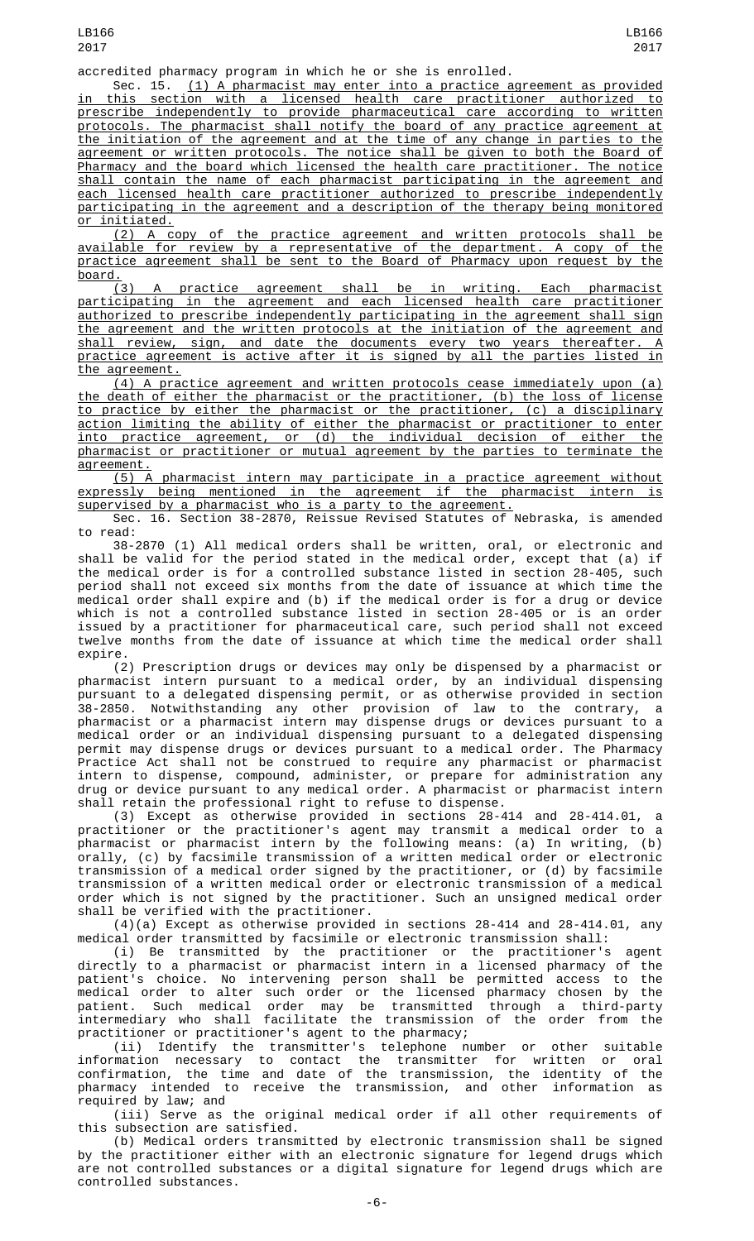Sec. 15. (1) A pharmacist may enter into a practice agreement as provided in this section with a licensed health care practitioner authorized to prescribe independently to provide pharmaceutical care according to written protocols. The pharmacist shall notify the board of any practice agreement at the initiation of the agreement and at the time of any change in parties to the agreement or written protocols. The notice shall be given to both the Board of Pharmacy and the board which licensed the health care practitioner. The notice shall contain the name of each pharmacist participating in the agreement and each licensed health care practitioner authorized to prescribe independently participating in the agreement and a description of the therapy being monitored or initiated.

(2) A copy of the practice agreement and written protocols shall be available for review by a representative of the department. A copy of the practice agreement shall be sent to the Board of Pharmacy upon request by the board.

(3) A practice agreement shall be in writing. Each pharmacist participating in the agreement and each licensed health care practitioner authorized to prescribe independently participating in the agreement shall sign the agreement and the written protocols at the initiation of the agreement and shall review, sign, and date the documents every two years thereafter. A practice agreement is active after it is signed by all the parties listed in the agreement.

(4) A practice agreement and written protocols cease immediately upon (a) the death of either the pharmacist or the practitioner, (b) the loss of license to practice by either the pharmacist or the practitioner, (c) a disciplinary action limiting the ability of either the pharmacist or practitioner to enter into practice agreement, or (d) the individual decision of either the pharmacist or practitioner or mutual agreement by the parties to terminate the agreement.

(5) A pharmacist intern may participate in a practice agreement without expressly being mentioned in the agreement if the pharmacist intern is supervised by a pharmacist who is a party to the agreement.

Sec. 16. Section 38-2870, Reissue Revised Statutes of Nebraska, is amended to read:

38-2870 (1) All medical orders shall be written, oral, or electronic and shall be valid for the period stated in the medical order, except that (a) if the medical order is for a controlled substance listed in section 28-405, such period shall not exceed six months from the date of issuance at which time the medical order shall expire and (b) if the medical order is for a drug or device which is not a controlled substance listed in section 28-405 or is an order issued by a practitioner for pharmaceutical care, such period shall not exceed twelve months from the date of issuance at which time the medical order shall expire.

(2) Prescription drugs or devices may only be dispensed by a pharmacist or pharmacist intern pursuant to a medical order, by an individual dispensing pursuant to a delegated dispensing permit, or as otherwise provided in section 38-2850. Notwithstanding any other provision of law to the contrary, a pharmacist or a pharmacist intern may dispense drugs or devices pursuant to a medical order or an individual dispensing pursuant to a delegated dispensing permit may dispense drugs or devices pursuant to a medical order. The Pharmacy Practice Act shall not be construed to require any pharmacist or pharmacist intern to dispense, compound, administer, or prepare for administration any drug or device pursuant to any medical order. A pharmacist or pharmacist intern shall retain the professional right to refuse to dispense.

(3) Except as otherwise provided in sections 28-414 and 28-414.01, a practitioner or the practitioner's agent may transmit a medical order to a pharmacist or pharmacist intern by the following means: (a) In writing, (b) orally, (c) by facsimile transmission of a written medical order or electronic transmission of a medical order signed by the practitioner, or (d) by facsimile transmission of a written medical order or electronic transmission of a medical order which is not signed by the practitioner. Such an unsigned medical order shall be verified with the practitioner.

(4)(a) Except as otherwise provided in sections 28-414 and 28-414.01, any medical order transmitted by facsimile or electronic transmission shall:

(i) Be transmitted by the practitioner or the practitioner's agent directly to a pharmacist or pharmacist intern in a licensed pharmacy of the patient's choice. No intervening person shall be permitted access to the medical order to alter such order or the licensed pharmacy chosen by the patient. Such medical order may be transmitted through a third-party intermediary who shall facilitate the transmission of the order from the practitioner or practitioner's agent to the pharmacy;

(ii) Identify the transmitter's telephone number or other suitable information necessary to contact the transmitter for written or oral confirmation, the time and date of the transmission, the identity of the pharmacy intended to receive the transmission, and other information as required by law; and

(iii) Serve as the original medical order if all other requirements of this subsection are satisfied.

(b) Medical orders transmitted by electronic transmission shall be signed by the practitioner either with an electronic signature for legend drugs which are not controlled substances or a digital signature for legend drugs which are controlled substances.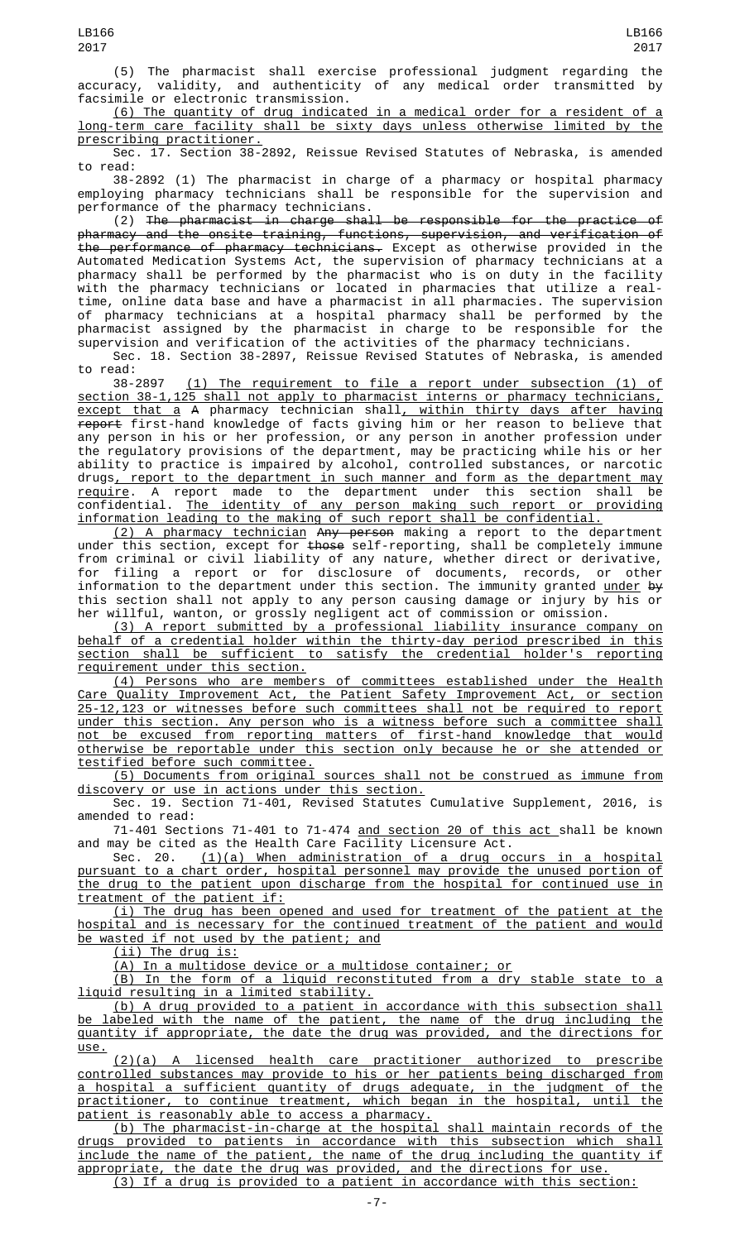(5) The pharmacist shall exercise professional judgment regarding the accuracy, validity, and authenticity of any medical order transmitted by facsimile or electronic transmission.

(6) The quantity of drug indicated in a medical order for a resident of a long-term care facility shall be sixty days unless otherwise limited by the prescribing practitioner.

Sec. 17. Section 38-2892, Reissue Revised Statutes of Nebraska, is amended to read:

38-2892 (1) The pharmacist in charge of a pharmacy or hospital pharmacy employing pharmacy technicians shall be responsible for the supervision and performance of the pharmacy technicians.

(2) The pharmacist in charge shall be responsible for the practice of pharmacy and the onsite training, functions, supervision, and verification of the performance of pharmacy technicians. Except as otherwise provided in the Automated Medication Systems Act, the supervision of pharmacy technicians at a pharmacy shall be performed by the pharmacist who is on duty in the facility with the pharmacy technicians or located in pharmacies that utilize a realtime, online data base and have a pharmacist in all pharmacies. The supervision of pharmacy technicians at a hospital pharmacy shall be performed by the pharmacist assigned by the pharmacist in charge to be responsible for the supervision and verification of the activities of the pharmacy technicians.

Sec. 18. Section 38-2897, Reissue Revised Statutes of Nebraska, is amended

to read:<br>38-2897 38-2897 (1) The requirement to file a report under subsection (1) of section 38-1,125 shall not apply to pharmacist interns or pharmacy technicians, <u>except that a</u> A pharmacy technician shall<u>, within thirty days after having</u> report first-hand knowledge of facts giving him or her reason to believe that any person in his or her profession, or any person in another profession under the regulatory provisions of the department, may be practicing while his or her ability to practice is impaired by alcohol, controlled substances, or narcotic drugs, report to the department in such manner and form as the department may require. A report made to the department under this section shall be confidential. The identity of any person making such report or providing information leading to the making of such report shall be confidential.

(2) A pharmacy technician Any person making a report to the department under this section, except for <del>those</del> self-reporting, shall be completely immune from criminal or civil liability of any nature, whether direct or derivative, for filing a report or for disclosure of documents, records, or other information to the department under this section. The immunity granted <u>under</u> <del>by</del> this section shall not apply to any person causing damage or injury by his or her willful, wanton, or grossly negligent act of commission or omission.

(3) A report submitted by a professional liability insurance company on behalf of a credential holder within the thirty-day period prescribed in this section shall be sufficient to satisfy the credential holder's reporting requirement under this section.

(4) Persons who are members of committees established under the Health Care Quality Improvement Act, the Patient Safety Improvement Act, or section 25-12,123 or witnesses before such committees shall not be required to report under this section. Any person who is a witness before such a committee shall not be excused from reporting matters of first-hand knowledge that would otherwise be reportable under this section only because he or she attended or testified before such committee.

(5) Documents from original sources shall not be construed as immune from discovery or use in actions under this section.

Sec. 19. Section 71-401, Revised Statutes Cumulative Supplement, 2016, is amended to read:

71-401 Sections 71-401 to 71-474 and section 20 of this act shall be known and may be cited as the Health Care Facility Licensure Act.

Sec. 20. (1)(a) When administration of a drug occurs in a hospital pursuant to a chart order, hospital personnel may provide the unused portion of the drug to the patient upon discharge from the hospital for continued use in treatment of the patient if:

(i) The drug has been opened and used for treatment of the patient at the hospital and is necessary for the continued treatment of the patient and would be wasted if not used by the patient; and

(ii) The drug is:

(A) In a multidose device or a multidose container; or

(B) In the form of a liquid reconstituted from a dry stable state to a liquid resulting in a limited stability.

(b) A drug provided to a patient in accordance with this subsection shall be labeled with the name of the patient, the name of the drug including the quantity if appropriate, the date the drug was provided, and the directions for use.

(2)(a) A licensed health care practitioner authorized to prescribe controlled substances may provide to his or her patients being discharged from a hospital a sufficient quantity of drugs adequate, in the judgment of the practitioner, to continue treatment, which began in the hospital, until the patient is reasonably able to access a pharmacy.

(b) The pharmacist-in-charge at the hospital shall maintain records of the drugs provided to patients in accordance with this subsection which shall include the name of the patient, the name of the drug including the quantity if appropriate, the date the drug was provided, and the directions for use.

(3) If a drug is provided to a patient in accordance with this section: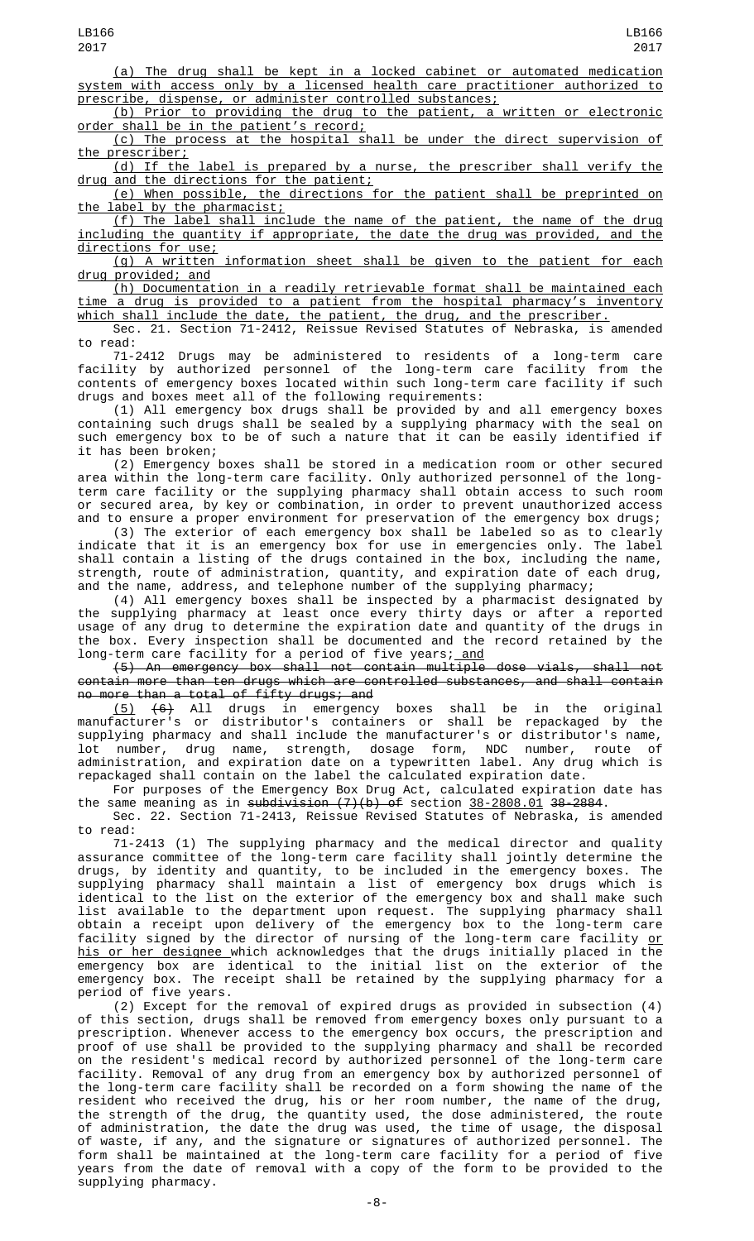(a) The drug shall be kept in a locked cabinet or automated medication system with access only by a licensed health care practitioner authorized to prescribe, dispense, or administer controlled substances;

(b) Prior to providing the drug to the patient, a written or electronic order shall be in the patient's record;

(c) The process at the hospital shall be under the direct supervision of the prescriber;

(d) If the label is prepared by a nurse, the prescriber shall verify the drug and the directions for the patient;

(e) When possible, the directions for the patient shall be preprinted on the label by the pharmacist;

(f) The label shall include the name of the patient, the name of the drug including the quantity if appropriate, the date the drug was provided, and the directions for use;

(g) A written information sheet shall be given to the patient for each drug provided; and

(h) Documentation in a readily retrievable format shall be maintained each time a drug is provided to a patient from the hospital pharmacy's inventory which shall include the date, the patient, the drug, and the prescriber.

Sec. 21. Section 71-2412, Reissue Revised Statutes of Nebraska, is amended to read:

71-2412 Drugs may be administered to residents of a long-term care facility by authorized personnel of the long-term care facility from the contents of emergency boxes located within such long-term care facility if such drugs and boxes meet all of the following requirements:

(1) All emergency box drugs shall be provided by and all emergency boxes containing such drugs shall be sealed by a supplying pharmacy with the seal on such emergency box to be of such a nature that it can be easily identified if it has been broken;

(2) Emergency boxes shall be stored in a medication room or other secured area within the long-term care facility. Only authorized personnel of the longterm care facility or the supplying pharmacy shall obtain access to such room or secured area, by key or combination, in order to prevent unauthorized access and to ensure a proper environment for preservation of the emergency box drugs;

(3) The exterior of each emergency box shall be labeled so as to clearly indicate that it is an emergency box for use in emergencies only. The label shall contain a listing of the drugs contained in the box, including the name, strength, route of administration, quantity, and expiration date of each drug, and the name, address, and telephone number of the supplying pharmacy;

(4) All emergency boxes shall be inspected by a pharmacist designated by the supplying pharmacy at least once every thirty days or after a reported usage of any drug to determine the expiration date and quantity of the drugs in the box. Every inspection shall be documented and the record retained by the long-term care facility for a period of five years; <u>and</u>

(5) An emergency box shall not contain multiple dose vials, shall not contain more than ten drugs which are controlled substances, and shall contain no more than a total of fifty drugs; and

 $(5)$   $(6)$  All drugs in emergency boxes shall be in the original manufacturer's or distributor's containers or shall be repackaged by the supplying pharmacy and shall include the manufacturer's or distributor's name, lot number, drug name, strength, dosage form, NDC number, route of administration, and expiration date on a typewritten label. Any drug which is repackaged shall contain on the label the calculated expiration date.

For purposes of the Emergency Box Drug Act, calculated expiration date has the same meaning as in subdivision  $(7)(b)$  of section  $38-2808.01$  38-2884.

Sec. 22. Section 71-2413, Reissue Revised Statutes of Nebraska, is amended to read:

71-2413 (1) The supplying pharmacy and the medical director and quality assurance committee of the long-term care facility shall jointly determine the drugs, by identity and quantity, to be included in the emergency boxes. The supplying pharmacy shall maintain a list of emergency box drugs which is identical to the list on the exterior of the emergency box and shall make such list available to the department upon request. The supplying pharmacy shall obtain a receipt upon delivery of the emergency box to the long-term care facility signed by the director of nursing of the long-term care facility <u>or</u> his or her designee which acknowledges that the drugs initially placed in the emergency box are identical to the initial list on the exterior of the emergency box. The receipt shall be retained by the supplying pharmacy for a period of five years.

(2) Except for the removal of expired drugs as provided in subsection (4) of this section, drugs shall be removed from emergency boxes only pursuant to a prescription. Whenever access to the emergency box occurs, the prescription and proof of use shall be provided to the supplying pharmacy and shall be recorded on the resident's medical record by authorized personnel of the long-term care facility. Removal of any drug from an emergency box by authorized personnel of the long-term care facility shall be recorded on a form showing the name of the resident who received the drug, his or her room number, the name of the drug, the strength of the drug, the quantity used, the dose administered, the route of administration, the date the drug was used, the time of usage, the disposal of waste, if any, and the signature or signatures of authorized personnel. The form shall be maintained at the long-term care facility for a period of five years from the date of removal with a copy of the form to be provided to the supplying pharmacy.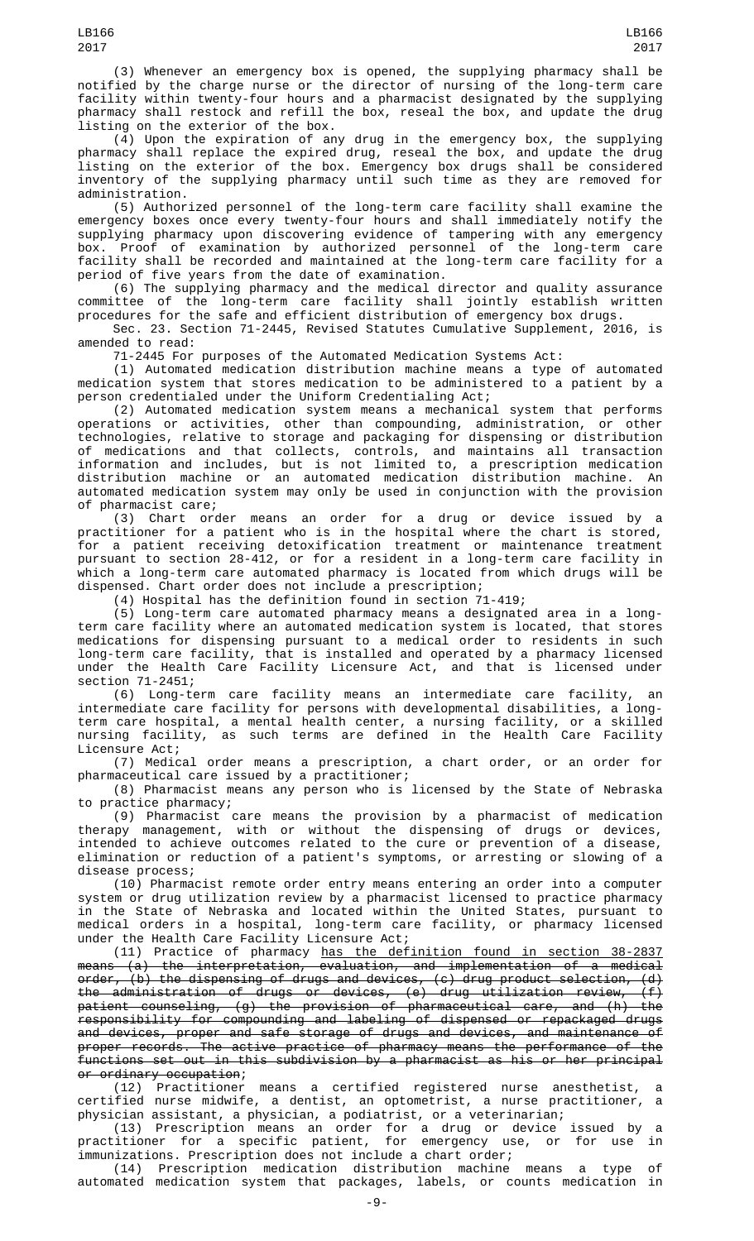(3) Whenever an emergency box is opened, the supplying pharmacy shall be notified by the charge nurse or the director of nursing of the long-term care facility within twenty-four hours and a pharmacist designated by the supplying pharmacy shall restock and refill the box, reseal the box, and update the drug listing on the exterior of the box.

(4) Upon the expiration of any drug in the emergency box, the supplying pharmacy shall replace the expired drug, reseal the box, and update the drug listing on the exterior of the box. Emergency box drugs shall be considered inventory of the supplying pharmacy until such time as they are removed for administration.

(5) Authorized personnel of the long-term care facility shall examine the emergency boxes once every twenty-four hours and shall immediately notify the supplying pharmacy upon discovering evidence of tampering with any emergency box. Proof of examination by authorized personnel of the long-term care facility shall be recorded and maintained at the long-term care facility for a period of five years from the date of examination.

(6) The supplying pharmacy and the medical director and quality assurance committee of the long-term care facility shall jointly establish written procedures for the safe and efficient distribution of emergency box drugs.

Sec. 23. Section 71-2445, Revised Statutes Cumulative Supplement, 2016, is amended to read:

71-2445 For purposes of the Automated Medication Systems Act:

(1) Automated medication distribution machine means a type of automated medication system that stores medication to be administered to a patient by a person credentialed under the Uniform Credentialing Act;

(2) Automated medication system means a mechanical system that performs operations or activities, other than compounding, administration, or other technologies, relative to storage and packaging for dispensing or distribution of medications and that collects, controls, and maintains all transaction information and includes, but is not limited to, a prescription medication distribution machine or an automated medication distribution machine. An automated medication system may only be used in conjunction with the provision of pharmacist care;

(3) Chart order means an order for a drug or device issued by a practitioner for a patient who is in the hospital where the chart is stored, for a patient receiving detoxification treatment or maintenance treatment pursuant to section 28-412, or for a resident in a long-term care facility in which a long-term care automated pharmacy is located from which drugs will be dispensed. Chart order does not include a prescription;

(4) Hospital has the definition found in section 71-419;

(5) Long-term care automated pharmacy means a designated area in a longterm care facility where an automated medication system is located, that stores medications for dispensing pursuant to a medical order to residents in such long-term care facility, that is installed and operated by a pharmacy licensed under the Health Care Facility Licensure Act, and that is licensed under section 71-2451;

(6) Long-term care facility means an intermediate care facility, an intermediate care facility for persons with developmental disabilities, a longterm care hospital, a mental health center, a nursing facility, or a skilled nursing facility, as such terms are defined in the Health Care Facility Licensure Act;

(7) Medical order means a prescription, a chart order, or an order for pharmaceutical care issued by a practitioner;

(8) Pharmacist means any person who is licensed by the State of Nebraska to practice pharmacy;

(9) Pharmacist care means the provision by a pharmacist of medication therapy management, with or without the dispensing of drugs or devices, intended to achieve outcomes related to the cure or prevention of a disease, elimination or reduction of a patient's symptoms, or arresting or slowing of a disease process;

(10) Pharmacist remote order entry means entering an order into a computer system or drug utilization review by a pharmacist licensed to practice pharmacy in the State of Nebraska and located within the United States, pursuant to medical orders in a hospital, long-term care facility, or pharmacy licensed under the Health Care Facility Licensure Act;

(11) Practice of pharmacy has the definition found in section 38-2837 means (a) the interpretation, evaluation, and implementation of a medical order, (b) the dispensing of drugs and devices, (c) drug product selection, (d) the administration of drugs or devices, (e) drug utilization review, (f) patient counseling, (g) the provision of pharmaceutical care, and (h) the responsibility for compounding and labeling of dispensed or repackaged drugs and devices, proper and safe storage of drugs and devices, and maintenance of proper records. The active practice of pharmacy means the performance of the functions set out in this subdivision by a pharmacist as his or her principal

o<del>r ordinary occupation</del>;<br>(12) Practitioner means a certified registered nurse anesthetist, certified nurse midwife, a dentist, an optometrist, a nurse practitioner, a physician assistant, a physician, a podiatrist, or a veterinarian;

(13) Prescription means an order for a drug or device issued by a practitioner for a specific patient, for emergency use, or for use in immunizations. Prescription does not include a chart order;

(14) Prescription medication distribution machine means a type of automated medication system that packages, labels, or counts medication in

LB166 2017